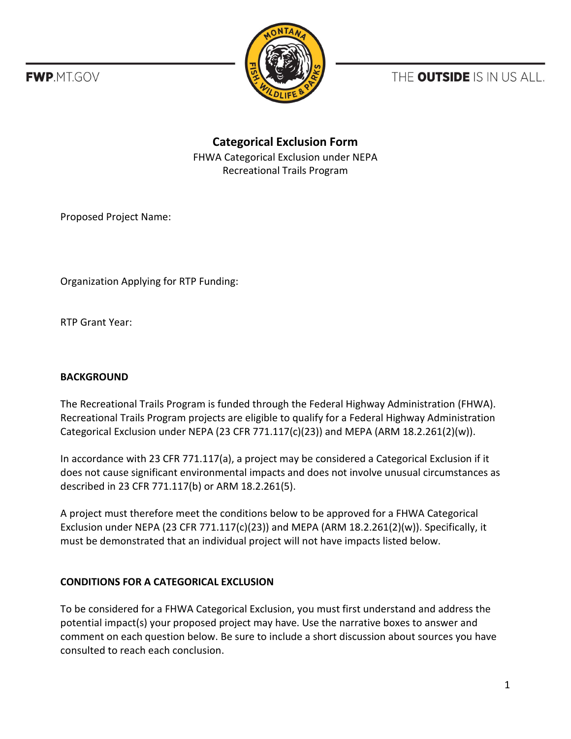**FWP.MT.GOV** 



THE **OUTSIDE** IS IN US ALL.

**Categorical Exclusion Form** FHWA Categorical Exclusion under NEPA Recreational Trails Program

Proposed Project Name:

Organization Applying for RTP Funding:

RTP Grant Year:

## **BACKGROUND**

The Recreational Trails Program is funded through the Federal Highway Administration (FHWA). Recreational Trails Program projects are eligible to qualify for a Federal Highway Administration Categorical Exclusion under NEPA (23 CFR 771.117(c)(23)) and MEPA (ARM 18.2.261(2)(w)).

In accordance with 23 CFR 771.117(a), a project may be considered a Categorical Exclusion if it does not cause significant environmental impacts and does not involve unusual circumstances as described in 23 CFR 771.117(b) or ARM 18.2.261(5).

A project must therefore meet the conditions below to be approved for a FHWA Categorical Exclusion under NEPA (23 CFR 771.117(c)(23)) and MEPA (ARM  $18.2.261(2)(w)$ ). Specifically, it must be demonstrated that an individual project will not have impacts listed below.

## **CONDITIONS FOR A CATEGORICAL EXCLUSION**

To be considered for a FHWA Categorical Exclusion, you must first understand and address the potential impact(s) your proposed project may have. Use the narrative boxes to answer and comment on each question below. Be sure to include a short discussion about sources you have consulted to reach each conclusion.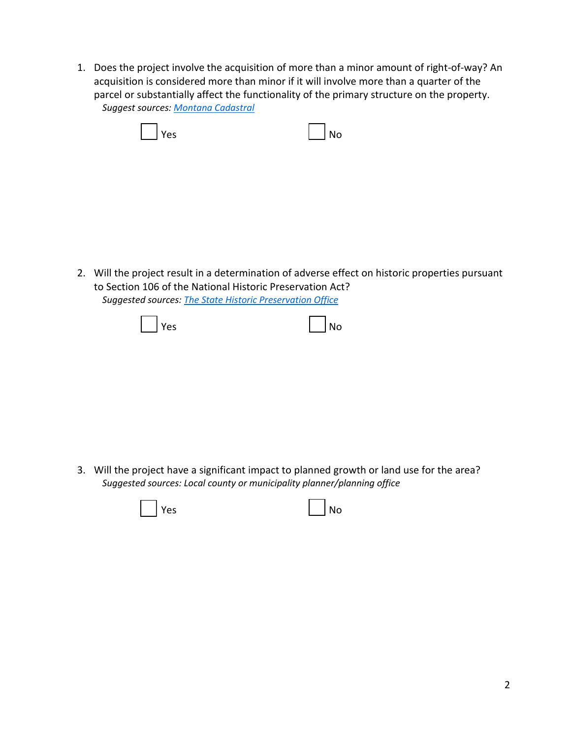1. Does the project involve the acquisition of more than a minor amount of right-of-way? An acquisition is considered more than minor if it will involve more than a quarter of the parcel or substantially affect the functionality of the primary structure on the property. *Suggest sources: [Montana Cadastral](http://svc.mt.gov/msl/mtcadastral)*

| $\vert$   Yes | $\vert$ $\vert$ No |
|---------------|--------------------|
|---------------|--------------------|

2. Will the project result in a determination of adverse effect on historic properties pursuant to Section 106 of the National Historic Preservation Act? *Suggested sources: The State Historic [Preservation Office](https://mhs.mt.gov/Shpo)*

| $\vert$   Yes | $\vert$ $\vert$ No |
|---------------|--------------------|
|---------------|--------------------|

3. Will the project have a significant impact to planned growth or land use for the area? *Suggested sources: Local county or municipality planner/planning office*

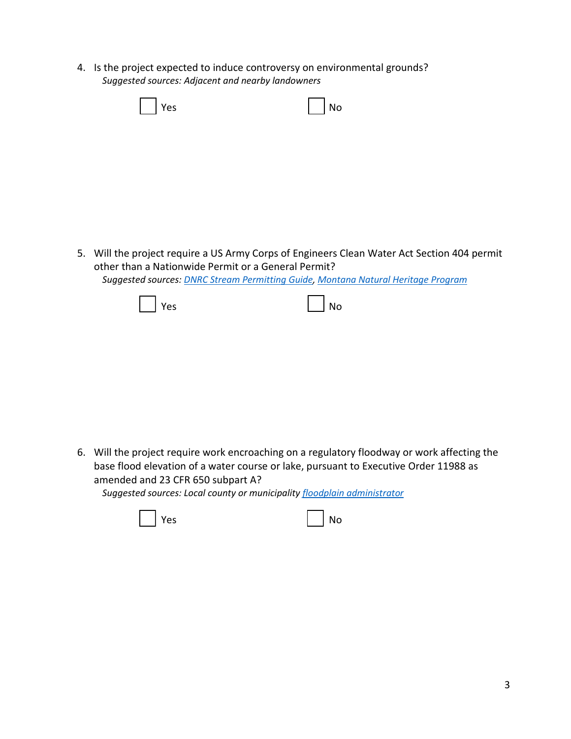4. Is the project expected to induce controversy on environmental grounds? *Suggested sources: Adjacent and nearby landowners*

| $\vert$   Yes | $\bigcap$ No |
|---------------|--------------|
|---------------|--------------|

5. Will the project require a US Army Corps of Engineers Clean Water Act Section 404 permit other than a Nationwide Permit or a General Permit? *Suggested sources: [DNRC Stream Permitting Guide,](http://dnrc.mt.gov/licenses-and-permits/stream-permitting) [Montana Natural Heritage Program](http://mtnhp.org/)*

| $\vert$ $\vert$ Yes | $\vert$ $\vert$ No |
|---------------------|--------------------|
|---------------------|--------------------|

6. Will the project require work encroaching on a regulatory floodway or work affecting the base flood elevation of a water course or lake, pursuant to Executive Order 11988 as amended and 23 CFR 650 subpart A?

*Suggested sources: Local county or municipality [floodplain administrator](http://dnrc.mt.gov/divisions/water/operations/floodplain-management/contacts)* 

| No<br>$\mathbf{1}$ |
|--------------------|
|                    |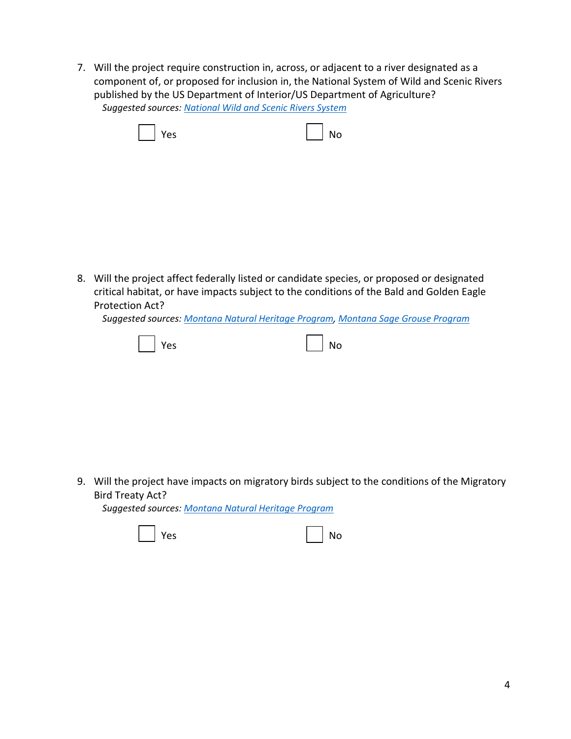7. Will the project require construction in, across, or adjacent to a river designated as a component of, or proposed for inclusion in, the National System of Wild and Scenic Rivers published by the US Department of Interior/US Department of Agriculture? *Suggested sources: [National Wild and Scenic Rivers System](https://www.rivers.gov/montana.php)*

| $\Box$ Yes | $\overline{\phantom{a}}$ No |
|------------|-----------------------------|
|------------|-----------------------------|

8. Will the project affect federally listed or candidate species, or proposed or designated critical habitat, or have impacts subject to the conditions of the Bald and Golden Eagle Protection Act?

*Suggested sources: [Montana Natural Heritage Program,](http://mtnhp.org/) [Montana Sage Grouse Program](https://sagegrouse.mt.gov/ProgramMap)*

| $\vert$   Yes | $\vert$ $\vert$ No |
|---------------|--------------------|
|---------------|--------------------|

9. Will the project have impacts on migratory birds subject to the conditions of the Migratory Bird Treaty Act?

*Suggested sources: [Montana Natural Heritage Program](http://mtnhp.org/)*